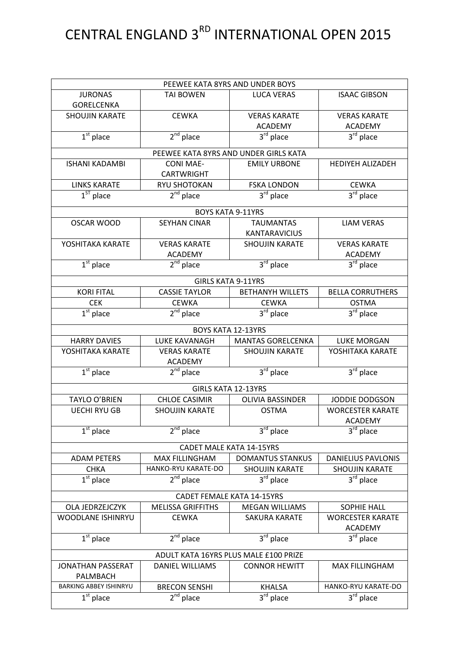## CENTRAL ENGLAND 3<sup>RD</sup> INTERNATIONAL OPEN 2015

| PEEWEE KATA 8YRS AND UNDER BOYS       |                                       |                                       |                           |  |
|---------------------------------------|---------------------------------------|---------------------------------------|---------------------------|--|
| <b>JURONAS</b>                        | <b>TAI BOWEN</b>                      | <b>LUCA VERAS</b>                     | <b>ISAAC GIBSON</b>       |  |
| <b>GORELCENKA</b>                     |                                       |                                       |                           |  |
| <b>SHOUJIN KARATE</b>                 | <b>CEWKA</b>                          | <b>VERAS KARATE</b>                   | <b>VERAS KARATE</b>       |  |
|                                       |                                       | <b>ACADEMY</b>                        | <b>ACADEMY</b>            |  |
| $1st$ place                           | $2nd$ place                           | $3rd$ place                           | 3rd place                 |  |
|                                       |                                       | PEEWEE KATA 8YRS AND UNDER GIRLS KATA |                           |  |
| <b>ISHANI KADAMBI</b>                 | <b>CONI MAE-</b>                      | <b>EMILY URBONE</b>                   | HEDIYEH ALIZADEH          |  |
|                                       | <b>CARTWRIGHT</b>                     |                                       |                           |  |
| <b>LINKS KARATE</b>                   | RYU SHOTOKAN                          | <b>FSKA LONDON</b>                    | <b>CEWKA</b>              |  |
| $1ST$ place                           | $2nd$ place                           | 3rd place                             | 3rd place                 |  |
|                                       |                                       | <b>BOYS KATA 9-11YRS</b>              |                           |  |
| <b>OSCAR WOOD</b>                     | <b>SEYHAN CINAR</b>                   | <b>TAUMANTAS</b>                      | <b>LIAM VERAS</b>         |  |
|                                       |                                       | <b>KANTARAVICIUS</b>                  |                           |  |
| YOSHITAKA KARATE                      | <b>VERAS KARATE</b>                   | <b>SHOUJIN KARATE</b>                 | <b>VERAS KARATE</b>       |  |
|                                       | <b>ACADEMY</b>                        |                                       | <b>ACADEMY</b>            |  |
| $1st$ place                           | $2^{nd}$ place                        | $3rd$ place                           | $3rd$ place               |  |
|                                       |                                       | <b>GIRLS KATA 9-11YRS</b>             |                           |  |
| <b>KORI FITAL</b>                     | <b>CASSIE TAYLOR</b>                  | <b>BETHANYH WILLETS</b>               | <b>BELLA CORRUTHERS</b>   |  |
| <b>CEK</b>                            | <b>CEWKA</b>                          | <b>CEWKA</b>                          | <b>OSTMA</b>              |  |
| $\overline{1^{st}}$ place             | $2nd$ place                           | $3^{\overline{\text{rd}}}$ place      | 3rd place                 |  |
|                                       |                                       |                                       |                           |  |
|                                       |                                       | <b>BOYS KATA 12-13YRS</b>             |                           |  |
| <b>HARRY DAVIES</b>                   | LUKE KAVANAGH                         | <b>MANTAS GORELCENKA</b>              | <b>LUKE MORGAN</b>        |  |
| YOSHITAKA KARATE                      | <b>VERAS KARATE</b><br><b>ACADEMY</b> | <b>SHOUJIN KARATE</b>                 | YOSHITAKA KARATE          |  |
| $1st$ place                           | $2nd$ place                           | $3rd$ place                           | 3rd place                 |  |
| <b>GIRLS KATA 12-13YRS</b>            |                                       |                                       |                           |  |
| <b>TAYLO O'BRIEN</b>                  | <b>CHLOE CASIMIR</b>                  | <b>OLIVIA BASSINDER</b>               | JODDIE DODGSON            |  |
| <b>UECHI RYU GB</b>                   | <b>SHOUJIN KARATE</b>                 | <b>OSTMA</b>                          | <b>WORCESTER KARATE</b>   |  |
|                                       |                                       |                                       | ACADEMY                   |  |
| $1st$ place                           | $2nd$ place                           | 3 <sup>rd</sup> place                 | $3rd$ place               |  |
|                                       |                                       | <b>CADET MALE KATA 14-15YRS</b>       |                           |  |
| <b>ADAM PETERS</b>                    | <b>MAX FILLINGHAM</b>                 | <b>DOMANTUS STANKUS</b>               | <b>DANIELIUS PAVLONIS</b> |  |
| <b>CHKA</b>                           | HANKO-RYU KARATE-DO                   | <b>SHOUJIN KARATE</b>                 | <b>SHOUJIN KARATE</b>     |  |
| $1st$ place                           | $2nd$ place                           | $3^{\overline{rd}}$ place             | $3rd$ place               |  |
| <b>CADET FEMALE KATA 14-15YRS</b>     |                                       |                                       |                           |  |
| OLA JEDRZEJCZYK                       | <b>MELISSA GRIFFITHS</b>              | <b>MEGAN WILLIAMS</b>                 | <b>SOPHIE HALL</b>        |  |
| <b>WOODLANE ISHINRYU</b>              | <b>CEWKA</b>                          | <b>SAKURA KARATE</b>                  | <b>WORCESTER KARATE</b>   |  |
|                                       |                                       |                                       | <b>ACADEMY</b>            |  |
| $1st$ place                           | $2nd$ place                           | $3rd$ place                           | $3rd$ place               |  |
| ADULT KATA 16YRS PLUS MALE £100 PRIZE |                                       |                                       |                           |  |
| <b>JONATHAN PASSERAT</b>              | <b>DANIEL WILLIAMS</b>                | <b>CONNOR HEWITT</b>                  | <b>MAX FILLINGHAM</b>     |  |
| PALMBACH                              |                                       |                                       |                           |  |
| <b>BARKING ABBEY ISHINRYU</b>         | <b>BRECON SENSHI</b>                  | <b>KHALSA</b>                         | HANKO-RYU KARATE-DO       |  |
| $\overline{1^{st}}$ place             | $2nd$ place                           | 3rd place                             | 3rd place                 |  |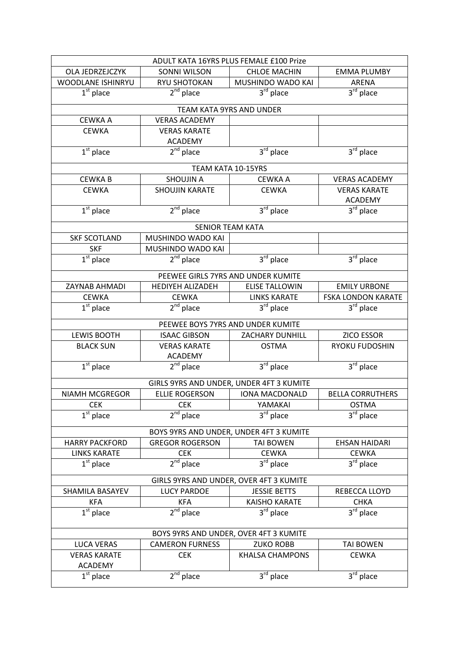| ADULT KATA 16YRS PLUS FEMALE £100 Prize |                         |                                          |                                  |  |
|-----------------------------------------|-------------------------|------------------------------------------|----------------------------------|--|
| <b>OLA JEDRZEJCZYK</b>                  | <b>SONNI WILSON</b>     | <b>CHLOE MACHIN</b>                      | <b>EMMA PLUMBY</b>               |  |
| WOODLANE ISHINRYU                       | RYU SHOTOKAN            | MUSHINDO WADO KAI                        | ARENA                            |  |
| $\overline{1^{st}}$ place               | $2nd$ place             | $3rd$ place                              | $3rd$ place                      |  |
|                                         |                         | TEAM KATA 9YRS AND UNDER                 |                                  |  |
| <b>CEWKA A</b>                          | <b>VERAS ACADEMY</b>    |                                          |                                  |  |
| <b>CEWKA</b>                            | <b>VERAS KARATE</b>     |                                          |                                  |  |
|                                         | <b>ACADEMY</b>          |                                          |                                  |  |
| $1st$ place                             | $2^{nd}$ place          | $3rd$ place                              | $\overline{3}^{\text{rd}}$ place |  |
|                                         |                         | TEAM KATA 10-15YRS                       |                                  |  |
| <b>CEWKAB</b>                           | <b>SHOUJIN A</b>        | <b>CEWKA A</b>                           | <b>VERAS ACADEMY</b>             |  |
| <b>CEWKA</b>                            | <b>SHOUJIN KARATE</b>   | <b>CEWKA</b>                             | <b>VERAS KARATE</b>              |  |
|                                         |                         |                                          | <b>ACADEMY</b>                   |  |
| $1st$ place                             | $2nd$ place             | 3rd place                                | 3rd place                        |  |
|                                         |                         | <b>SENIOR TEAM KATA</b>                  |                                  |  |
| <b>SKF SCOTLAND</b>                     | MUSHINDO WADO KAI       |                                          |                                  |  |
| <b>SKF</b>                              | MUSHINDO WADO KAI       |                                          |                                  |  |
| $1st$ place                             | $2nd$ place             | 3rd place                                | $3rd$ place                      |  |
|                                         |                         | PEEWEE GIRLS 7YRS AND UNDER KUMITE       |                                  |  |
| ZAYNAB AHMADI                           | <b>HEDIYEH ALIZADEH</b> | <b>ELISE TALLOWIN</b>                    | <b>EMILY URBONE</b>              |  |
| <b>CEWKA</b>                            | <b>CEWKA</b>            | <b>LINKS KARATE</b>                      | <b>FSKA LONDON KARATE</b>        |  |
| $1st$ place                             | $2nd$ place             | $3rd$ place                              | $3rd$ place                      |  |
|                                         |                         | PEEWEE BOYS 7YRS AND UNDER KUMITE        |                                  |  |
| <b>LEWIS BOOTH</b>                      | <b>ISAAC GIBSON</b>     | <b>ZACHARY DUNHILL</b>                   | <b>ZICO ESSOR</b>                |  |
| <b>BLACK SUN</b>                        | <b>VERAS KARATE</b>     | <b>OSTMA</b>                             | <b>RYOKU FUDOSHIN</b>            |  |
|                                         | <b>ACADEMY</b>          |                                          |                                  |  |
| $1st$ place                             | $2^{nd}$ place          | 3rd place                                | $3rd$ place                      |  |
|                                         |                         | GIRLS 9YRS AND UNDER, UNDER 4FT 3 KUMITE |                                  |  |
| <b>NIAMH MCGREGOR</b>                   | <b>ELLIE ROGERSON</b>   | <b>IONA MACDONALD</b>                    | <b>BELLA CORRUTHERS</b>          |  |
| <b>CEK</b>                              | <b>CEK</b>              | YAMAKAI                                  | <b>OSTMA</b>                     |  |
| $1st$ place                             | $2nd$ place             | 3 <sup>rd</sup> place                    | 3 <sup>rd</sup> place            |  |
| BOYS 9YRS AND UNDER, UNDER 4FT 3 KUMITE |                         |                                          |                                  |  |
| <b>HARRY PACKFORD</b>                   | <b>GREGOR ROGERSON</b>  | <b>TAI BOWEN</b>                         | <b>EHSAN HAIDARI</b>             |  |
| <b>LINKS KARATE</b>                     | <b>CEK</b>              | <b>CEWKA</b>                             | <b>CEWKA</b>                     |  |
| $1st$ place                             | $2nd$ place             | 3rd place                                | $3rd$ place                      |  |
| GIRLS 9YRS AND UNDER, OVER 4FT 3 KUMITE |                         |                                          |                                  |  |
| SHAMILA BASAYEV                         | <b>LUCY PARDOE</b>      | <b>JESSIE BETTS</b>                      | REBECCA LLOYD                    |  |
| <b>KFA</b>                              | <b>KFA</b>              | <b>KAISHO KARATE</b>                     | <b>CHKA</b>                      |  |
| $\overline{1^{st}}$ place               | $2nd$ place             | 3rd place                                | $3rd$ place                      |  |
|                                         |                         |                                          |                                  |  |
| BOYS 9YRS AND UNDER, OVER 4FT 3 KUMITE  |                         |                                          |                                  |  |
| <b>LUCA VERAS</b>                       | <b>CAMERON FURNESS</b>  | <b>ZUKO ROBB</b>                         | <b>TAI BOWEN</b>                 |  |
| <b>VERAS KARATE</b><br><b>ACADEMY</b>   | <b>CEK</b>              | <b>KHALSA CHAMPONS</b>                   | <b>CEWKA</b>                     |  |
| $\overline{1}^{\rm st}$ place           | $2nd$ place             | $3rd$ place                              | 3rd place                        |  |
|                                         |                         |                                          |                                  |  |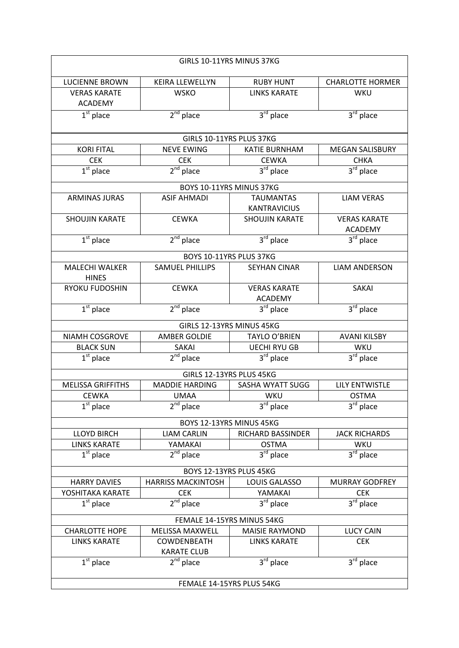| GIRLS 10-11YRS MINUS 37KG |                                                                         |                                  |                         |  |  |  |
|---------------------------|-------------------------------------------------------------------------|----------------------------------|-------------------------|--|--|--|
| <b>LUCIENNE BROWN</b>     | KEIRA LLEWELLYN                                                         | <b>RUBY HUNT</b>                 | <b>CHARLOTTE HORMER</b> |  |  |  |
| <b>VERAS KARATE</b>       | <b>WSKO</b>                                                             | <b>LINKS KARATE</b>              | WKU                     |  |  |  |
| <b>ACADEMY</b>            |                                                                         |                                  |                         |  |  |  |
| $1st$ place               | $2nd$ place                                                             | $3rd$ place                      | $3rd$ place             |  |  |  |
|                           |                                                                         |                                  |                         |  |  |  |
|                           | GIRLS 10-11YRS PLUS 37KG                                                |                                  |                         |  |  |  |
| <b>KORI FITAL</b>         | <b>NEVE EWING</b>                                                       | <b>KATIE BURNHAM</b>             | <b>MEGAN SALISBURY</b>  |  |  |  |
| <b>CEK</b>                | <b>CEK</b>                                                              | <b>CEWKA</b>                     | <b>CHKA</b>             |  |  |  |
| $\overline{1^{st}}$ place | $2nd$ place                                                             | 3rd place                        | $3rd$ place             |  |  |  |
|                           | BOYS 10-11YRS MINUS 37KG                                                |                                  |                         |  |  |  |
| <b>ARMINAS JURAS</b>      | <b>ASIF AHMADI</b>                                                      | <b>TAUMANTAS</b>                 | <b>LIAM VERAS</b>       |  |  |  |
|                           |                                                                         | <b>KANTRAVICIUS</b>              |                         |  |  |  |
| <b>SHOUJIN KARATE</b>     | <b>CEWKA</b>                                                            | <b>SHOUJIN KARATE</b>            | <b>VERAS KARATE</b>     |  |  |  |
|                           |                                                                         |                                  | <b>ACADEMY</b>          |  |  |  |
| $\overline{1^{st}}$ place | $2nd$ place                                                             | $3rd$ place                      | $3rd$ place             |  |  |  |
|                           | BOYS 10-11YRS PLUS 37KG                                                 |                                  |                         |  |  |  |
| <b>MALECHI WALKER</b>     | <b>SAMUEL PHILLIPS</b>                                                  | <b>SEYHAN CINAR</b>              | <b>LIAM ANDERSON</b>    |  |  |  |
| <b>HINES</b>              |                                                                         |                                  |                         |  |  |  |
| RYOKU FUDOSHIN            | <b>CEWKA</b>                                                            | <b>VERAS KARATE</b>              | <b>SAKAI</b>            |  |  |  |
|                           |                                                                         | <b>ACADEMY</b>                   |                         |  |  |  |
| $1st$ place               | $2nd$ place                                                             | 3rd place                        | 3rd place               |  |  |  |
|                           | GIRLS 12-13YRS MINUS 45KG                                               |                                  |                         |  |  |  |
| NIAMH COSGROVE            | <b>AMBER GOLDIE</b>                                                     | <b>TAYLO O'BRIEN</b>             | <b>AVANI KILSBY</b>     |  |  |  |
| <b>BLACK SUN</b>          | SAKAI                                                                   | <b>UECHI RYU GB</b>              | WKU                     |  |  |  |
| $1st$ place               | $2nd$ place                                                             | 3rd place                        | $3rd$ place             |  |  |  |
|                           | GIRLS 12-13YRS PLUS 45KG                                                |                                  |                         |  |  |  |
| <b>MELISSA GRIFFITHS</b>  | <b>MADDIE HARDING</b>                                                   | SASHA WYATT SUGG                 | <b>LILY ENTWISTLE</b>   |  |  |  |
| <b>CEWKA</b>              | UMAA                                                                    | WKU                              | <b>OSTMA</b>            |  |  |  |
| $1st$ place               | $2nd$ place                                                             | 3rd place                        | 3rd place               |  |  |  |
|                           | BOYS 12-13YRS MINUS 45KG                                                |                                  |                         |  |  |  |
| <b>LLOYD BIRCH</b>        | <b>LIAM CARLIN</b>                                                      | RICHARD BASSINDER                | <b>JACK RICHARDS</b>    |  |  |  |
| <b>LINKS KARATE</b>       | YAMAKAI                                                                 | <b>OSTMA</b>                     | WKU                     |  |  |  |
| $1st$ place               | $2^{nd}$ place                                                          | $\overline{3}^{\text{rd}}$ place | $3rd$ place             |  |  |  |
| BOYS 12-13YRS PLUS 45KG   |                                                                         |                                  |                         |  |  |  |
| <b>HARRY DAVIES</b>       | <b>HARRISS MACKINTOSH</b>                                               | <b>LOUIS GALASSO</b>             | <b>MURRAY GODFREY</b>   |  |  |  |
| YOSHITAKA KARATE          | <b>CEK</b>                                                              | YAMAKAI                          | <b>CEK</b>              |  |  |  |
| $1st$ place               | $2nd$ place                                                             | $3rd$ place                      | $3rd$ place             |  |  |  |
|                           |                                                                         |                                  |                         |  |  |  |
|                           | FEMALE 14-15YRS MINUS 54KG                                              |                                  |                         |  |  |  |
| <b>CHARLOTTE HOPE</b>     | <b>MELISSA MAXWELL</b>                                                  | <b>MAISIE RAYMOND</b>            | <b>LUCY CAIN</b>        |  |  |  |
|                           | <b>LINKS KARATE</b><br>COWDENBEATH<br><b>LINKS KARATE</b><br><b>CEK</b> |                                  |                         |  |  |  |
|                           | <b>KARATE CLUB</b>                                                      |                                  |                         |  |  |  |
| $1st$ place               | $2nd$ place                                                             | $3rd$ place                      | 3rd place               |  |  |  |
|                           | FEMALE 14-15YRS PLUS 54KG                                               |                                  |                         |  |  |  |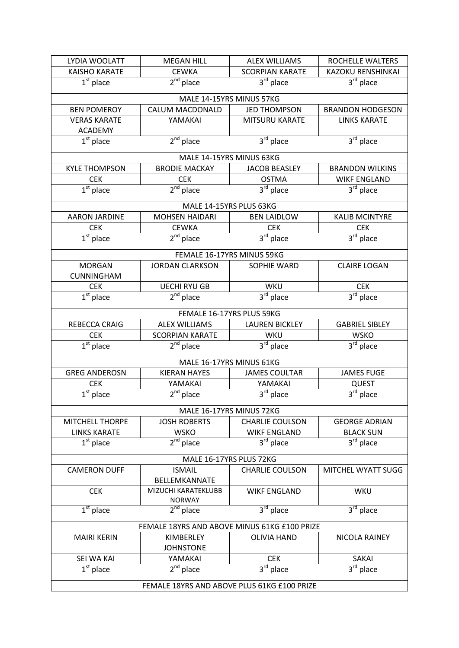| LYDIA WOOLATT                                | <b>MEGAN HILL</b>      | <b>ALEX WILLIAMS</b>       | ROCHELLE WALTERS        |
|----------------------------------------------|------------------------|----------------------------|-------------------------|
| <b>KAISHO KARATE</b>                         | <b>CEWKA</b>           | <b>SCORPIAN KARATE</b>     | KAZOKU RENSHINKAI       |
| $1st$ place                                  | $2nd$ place            | $3rd$ place                | $3rd$ place             |
|                                              |                        | MALE 14-15YRS MINUS 57KG   |                         |
| <b>BEN POMEROY</b>                           | <b>CALUM MACDONALD</b> | <b>JED THOMPSON</b>        | <b>BRANDON HODGESON</b> |
| <b>VERAS KARATE</b>                          | YAMAKAI                | <b>MITSURU KARATE</b>      | <b>LINKS KARATE</b>     |
| <b>ACADEMY</b><br>$1st$ place                | $2^{nd}$ place         | 3rd place                  | $3rd$ place             |
|                                              |                        |                            |                         |
|                                              |                        | MALE 14-15YRS MINUS 63KG   |                         |
| <b>KYLE THOMPSON</b>                         | <b>BRODIE MACKAY</b>   | <b>JACOB BEASLEY</b>       | <b>BRANDON WILKINS</b>  |
| <b>CEK</b>                                   | <b>CEK</b>             | <b>OSTMA</b>               | <b>WIKF ENGLAND</b>     |
| $1st$ place                                  | 2 <sup>nd</sup> place  | $3rd$ place                | 3rd place               |
|                                              |                        | MALE 14-15YRS PLUS 63KG    |                         |
| <b>AARON JARDINE</b>                         | <b>MOHSEN HAIDARI</b>  | <b>BEN LAIDLOW</b>         | <b>KALIB MCINTYRE</b>   |
| <b>CEK</b>                                   | <b>CEWKA</b>           | <b>CEK</b>                 | <b>CEK</b>              |
| $1st$ place                                  | $2nd$ place            | $3rd$ place                | $3rd$ place             |
|                                              |                        | FEMALE 16-17YRS MINUS 59KG |                         |
| <b>MORGAN</b>                                | <b>JORDAN CLARKSON</b> | SOPHIE WARD                | <b>CLAIRE LOGAN</b>     |
| <b>CUNNINGHAM</b>                            |                        |                            |                         |
| <b>CEK</b>                                   | <b>UECHI RYU GB</b>    | WKU                        | <b>CEK</b>              |
| $\overline{1^{st}}$ place                    | $2nd$ place            | $3rd$ place                | $3rd$ place             |
|                                              |                        | FEMALE 16-17YRS PLUS 59KG  |                         |
| REBECCA CRAIG                                | <b>ALEX WILLIAMS</b>   | <b>LAUREN BICKLEY</b>      | <b>GABRIEL SIBLEY</b>   |
| <b>CEK</b>                                   | <b>SCORPIAN KARATE</b> | WKU                        | <b>WSKO</b>             |
| $\overline{1^{st}}$ place                    | $2^{nd}$ place         | $3^{\text{rd}}$ place      | $3rd$ place             |
|                                              |                        | MALE 16-17YRS MINUS 61KG   |                         |
| <b>GREG ANDEROSN</b>                         | <b>KIERAN HAYES</b>    | <b>JAMES COULTAR</b>       | <b>JAMES FUGE</b>       |
| <b>CEK</b>                                   | YAMAKAI                | YAMAKAI                    | <b>QUEST</b>            |
| $\overline{1^{st}}$ place                    | $2nd$ place            | 3 <sup>rd</sup> place      | 3rd place               |
|                                              |                        | MALE 16-17YRS MINUS 72KG   |                         |
| <b>MITCHELL THORPE</b>                       | <b>JOSH ROBERTS</b>    | <b>CHARLIE COULSON</b>     | <b>GEORGE ADRIAN</b>    |
| <b>LINKS KARATE</b>                          | <b>WSKO</b>            | <b>WIKF ENGLAND</b>        | <b>BLACK SUN</b>        |
| $1st$ place                                  | $2nd$ place            | 3rd place                  | 3rd place               |
| MALE 16-17YRS PLUS 72KG                      |                        |                            |                         |
| <b>CAMERON DUFF</b>                          | <b>ISMAIL</b>          | <b>CHARLIE COULSON</b>     | MITCHEL WYATT SUGG      |
|                                              | BELLEMKANNATE          |                            |                         |
| <b>CEK</b>                                   | MIZUCHI KARATEKLUBB    | <b>WIKF ENGLAND</b>        | WKU                     |
|                                              | <b>NORWAY</b>          |                            |                         |
| $\overline{1}^{\text{st}}$ place             | $2nd$ place            | $3rd$ place                | $3rd$ place             |
| FEMALE 18YRS AND ABOVE MINUS 61KG £100 PRIZE |                        |                            |                         |
| <b>MAIRI KERIN</b>                           | KIMBERLEY              | <b>OLIVIA HAND</b>         | NICOLA RAINEY           |
|                                              | <b>JOHNSTONE</b>       |                            |                         |
| SEI WA KAI                                   | YAMAKAI                | <b>CEK</b>                 | SAKAI                   |
| $\overline{1^{st}}$ place                    | $2^{nd}$ place         | $3^{\text{rd}}$ place      | $3rd$ place             |
| FEMALE 18YRS AND ABOVE PLUS 61KG £100 PRIZE  |                        |                            |                         |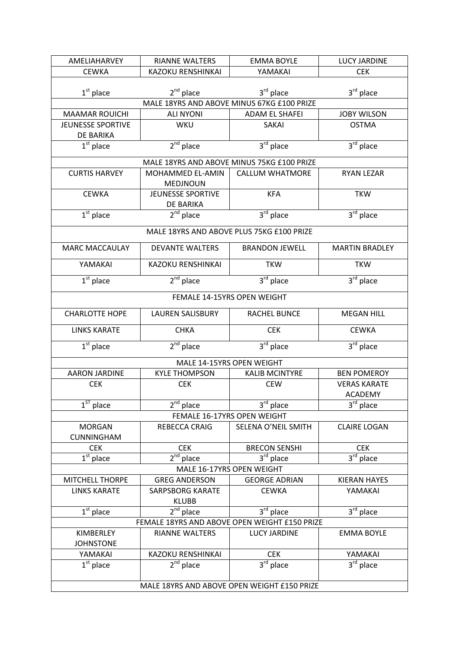| <b>AMELIAHARVEY</b>                           | <b>RIANNE WALTERS</b>              | <b>EMMA BOYLE</b>                          | <b>LUCY JARDINE</b>                   |  |  |
|-----------------------------------------------|------------------------------------|--------------------------------------------|---------------------------------------|--|--|
| <b>CEWKA</b>                                  | <b>KAZOKU RENSHINKAI</b>           | YAMAKAI                                    | <b>CEK</b>                            |  |  |
|                                               |                                    |                                            |                                       |  |  |
| $1st$ place                                   | $2^{nd}$ place                     | 3rd place                                  | 3rd place                             |  |  |
|                                               |                                    | MALE 18YRS AND ABOVE MINUS 67KG £100 PRIZE |                                       |  |  |
| <b>MAAMAR ROUICHI</b>                         | <b>ALI NYONI</b>                   | <b>ADAM EL SHAFEI</b>                      | <b>JOBY WILSON</b>                    |  |  |
| JEUNESSE SPORTIVE                             | <b>WKU</b>                         | SAKAI                                      | <b>OSTMA</b>                          |  |  |
| DE BARIKA                                     |                                    |                                            |                                       |  |  |
| $1st$ place                                   | $2nd$ place                        | 3rd place                                  | $3^{\overline{\text{rd}}}$ place      |  |  |
|                                               |                                    | MALE 18YRS AND ABOVE MINUS 75KG £100 PRIZE |                                       |  |  |
| <b>CURTIS HARVEY</b>                          | MOHAMMED EL-AMIN                   | <b>CALLUM WHATMORE</b>                     | <b>RYAN LEZAR</b>                     |  |  |
|                                               | <b>MEDJNOUN</b>                    |                                            |                                       |  |  |
| <b>CEWKA</b>                                  | JEUNESSE SPORTIVE                  | <b>KFA</b>                                 | <b>TKW</b>                            |  |  |
|                                               | DE BARIKA                          |                                            |                                       |  |  |
| $1st$ place                                   | $2nd$ place                        | $3^{\text{rd}}$ place                      | $3rd$ place                           |  |  |
|                                               |                                    | MALE 18YRS AND ABOVE PLUS 75KG £100 PRIZE  |                                       |  |  |
| <b>MARC MACCAULAY</b>                         | <b>DEVANTE WALTERS</b>             | <b>BRANDON JEWELL</b>                      | <b>MARTIN BRADLEY</b>                 |  |  |
|                                               |                                    |                                            |                                       |  |  |
| YAMAKAI                                       | <b>KAZOKU RENSHINKAI</b>           | <b>TKW</b>                                 | <b>TKW</b>                            |  |  |
| $\overline{1^{st}}$ place                     | $2nd$ place                        | 3 <sup>rd</sup> place                      | $3rd$ place                           |  |  |
|                                               |                                    | FEMALE 14-15YRS OPEN WEIGHT                |                                       |  |  |
| <b>CHARLOTTE HOPE</b>                         | <b>LAUREN SALISBURY</b>            | RACHEL BUNCE                               | <b>MEGAN HILL</b>                     |  |  |
| <b>LINKS KARATE</b>                           | <b>CHKA</b>                        | <b>CEK</b>                                 | <b>CEWKA</b>                          |  |  |
| $1st$ place                                   | $2nd$ place                        | 3 <sup>rd</sup> place                      | 3rd place                             |  |  |
|                                               |                                    |                                            |                                       |  |  |
| <b>AARON JARDINE</b>                          | MALE 14-15YRS OPEN WEIGHT          |                                            |                                       |  |  |
|                                               | <b>KYLE THOMPSON</b><br><b>CEK</b> | <b>KALIB MCINTYRE</b><br><b>CEW</b>        | <b>BEN POMEROY</b>                    |  |  |
| <b>CEK</b>                                    |                                    |                                            | <b>VERAS KARATE</b><br><b>ACADEMY</b> |  |  |
| $1ST$ place                                   | $2nd$ place                        | 3 <sup>rd</sup> place                      | 3rd place                             |  |  |
|                                               |                                    | FEMALE 16-17YRS OPEN WEIGHT                |                                       |  |  |
|                                               |                                    |                                            |                                       |  |  |
| <b>MORGAN</b><br><b>CUNNINGHAM</b>            | <b>REBECCA CRAIG</b>               | SELENA O'NEIL SMITH                        | <b>CLAIRE LOGAN</b>                   |  |  |
| <b>CEK</b>                                    | <b>CEK</b>                         | <b>BRECON SENSHI</b>                       | <b>CEK</b>                            |  |  |
| $1st$ place                                   | $2nd$ place                        | $3^{\text{rd}}$ place                      | $3^{\overline{\text{rd}}}$ place      |  |  |
|                                               | MALE 16-17YRS OPEN WEIGHT          |                                            |                                       |  |  |
| <b>MITCHELL THORPE</b>                        | <b>GREG ANDERSON</b>               | <b>GEORGE ADRIAN</b>                       | <b>KIERAN HAYES</b>                   |  |  |
| <b>LINKS KARATE</b>                           | <b>SARPSBORG KARATE</b>            | <b>CEWKA</b>                               | YAMAKAI                               |  |  |
|                                               | <b>KLUBB</b>                       |                                            |                                       |  |  |
| $1st$ place                                   | $2nd$ place                        | 3rd place                                  | $3rd$ place                           |  |  |
| FEMALE 18YRS AND ABOVE OPEN WEIGHT £150 PRIZE |                                    |                                            |                                       |  |  |
| KIMBERLEY                                     | RIANNE WALTERS                     | <b>LUCY JARDINE</b>                        | <b>EMMA BOYLE</b>                     |  |  |
| <b>JOHNSTONE</b>                              |                                    |                                            |                                       |  |  |
| YAMAKAI                                       | KAZOKU RENSHINKAI                  | <b>CEK</b>                                 | YAMAKAI                               |  |  |
| $\overline{1^{st}}$ place                     | $2^{nd}$ place                     | $3^{\text{rd}}$ place                      | $3^{\text{rd}}$ place                 |  |  |
|                                               |                                    |                                            |                                       |  |  |
| MALE 18YRS AND ABOVE OPEN WEIGHT £150 PRIZE   |                                    |                                            |                                       |  |  |